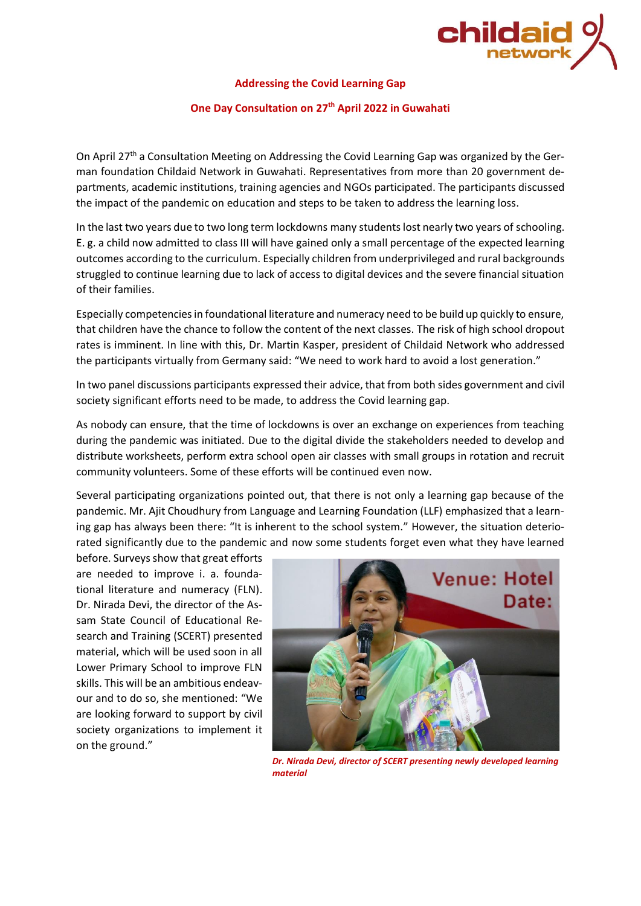

## **Addressing the Covid Learning Gap**

## **One Day Consultation on 27th April 2022 in Guwahati**

On April 27<sup>th</sup> a Consultation Meeting on Addressing the Covid Learning Gap was organized by the German foundation Childaid Network in Guwahati. Representatives from more than 20 government departments, academic institutions, training agencies and NGOs participated. The participants discussed the impact of the pandemic on education and steps to be taken to address the learning loss.

In the last two years due to two long term lockdowns many students lost nearly two years of schooling. E. g. a child now admitted to class III will have gained only a small percentage of the expected learning outcomes according to the curriculum. Especially children from underprivileged and rural backgrounds struggled to continue learning due to lack of access to digital devices and the severe financial situation of their families.

Especially competenciesin foundational literature and numeracy need to be build up quickly to ensure, that children have the chance to follow the content of the next classes. The risk of high school dropout rates is imminent. In line with this, Dr. Martin Kasper, president of Childaid Network who addressed the participants virtually from Germany said: "We need to work hard to avoid a lost generation."

In two panel discussions participants expressed their advice, that from both sides government and civil society significant efforts need to be made, to address the Covid learning gap.

As nobody can ensure, that the time of lockdowns is over an exchange on experiences from teaching during the pandemic was initiated. Due to the digital divide the stakeholders needed to develop and distribute worksheets, perform extra school open air classes with small groups in rotation and recruit community volunteers. Some of these efforts will be continued even now.

Several participating organizations pointed out, that there is not only a learning gap because of the pandemic. Mr. Ajit Choudhury from Language and Learning Foundation (LLF) emphasized that a learning gap has always been there: "It is inherent to the school system." However, the situation deteriorated significantly due to the pandemic and now some students forget even what they have learned

before. Surveys show that great efforts are needed to improve i. a. foundational literature and numeracy (FLN). Dr. Nirada Devi, the director of the Assam State Council of Educational Research and Training (SCERT) presented material, which will be used soon in all Lower Primary School to improve FLN skills. This will be an ambitious endeavour and to do so, she mentioned: "We are looking forward to support by civil society organizations to implement it on the ground."



*Dr. Nirada Devi, director of SCERT presenting newly developed learning material*